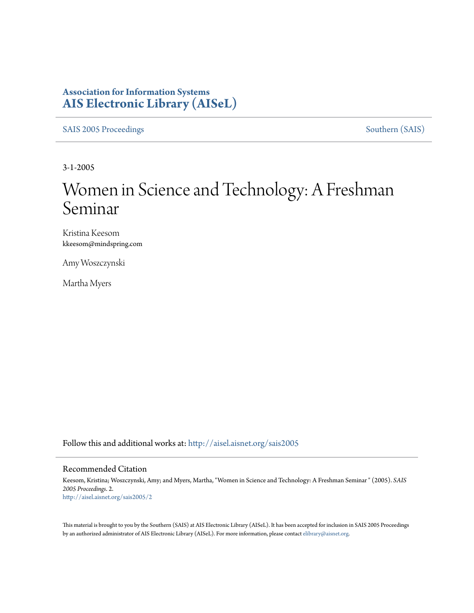### **Association for Information Systems [AIS Electronic Library \(AISeL\)](http://aisel.aisnet.org?utm_source=aisel.aisnet.org%2Fsais2005%2F2&utm_medium=PDF&utm_campaign=PDFCoverPages)**

[SAIS 2005 Proceedings](http://aisel.aisnet.org/sais2005?utm_source=aisel.aisnet.org%2Fsais2005%2F2&utm_medium=PDF&utm_campaign=PDFCoverPages) [Southern \(SAIS\)](http://aisel.aisnet.org/sais?utm_source=aisel.aisnet.org%2Fsais2005%2F2&utm_medium=PDF&utm_campaign=PDFCoverPages)

3-1-2005

# Women in Science and Technology: A Freshman Seminar

Kristina Keesom kkeesom@mindspring.com

Amy Woszczynski

Martha Myers

Follow this and additional works at: [http://aisel.aisnet.org/sais2005](http://aisel.aisnet.org/sais2005?utm_source=aisel.aisnet.org%2Fsais2005%2F2&utm_medium=PDF&utm_campaign=PDFCoverPages)

#### Recommended Citation

Keesom, Kristina; Woszczynski, Amy; and Myers, Martha, "Women in Science and Technology: A Freshman Seminar " (2005). *SAIS 2005 Proceedings*. 2. [http://aisel.aisnet.org/sais2005/2](http://aisel.aisnet.org/sais2005/2?utm_source=aisel.aisnet.org%2Fsais2005%2F2&utm_medium=PDF&utm_campaign=PDFCoverPages)

This material is brought to you by the Southern (SAIS) at AIS Electronic Library (AISeL). It has been accepted for inclusion in SAIS 2005 Proceedings by an authorized administrator of AIS Electronic Library (AISeL). For more information, please contact [elibrary@aisnet.org](mailto:elibrary@aisnet.org%3E).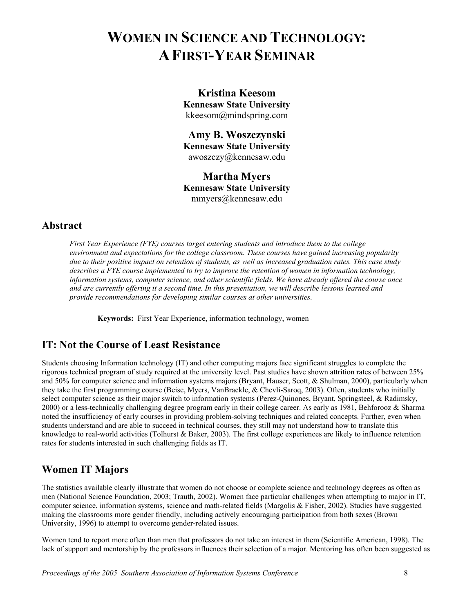## **WOMEN IN SCIENCE AND TECHNOLOGY: A FIRST-YEAR SEMINAR**

**Kristina Keesom Kennesaw State University**  kkeesom@mindspring.com

**Amy B. Woszczynski Kennesaw State University**  awoszczy@kennesaw.edu

**Martha Myers Kennesaw State University**  mmyers@kennesaw.edu

#### **Abstract**

*First Year Experience (FYE) courses target entering students and introduce them to the college environment and expectations for the college classroom. These courses have gained increasing popularity due to their positive impact on retention of students, as well as increased graduation rates. This case study describes a FYE course implemented to try to improve the retention of women in information technology, information systems, computer science, and other scientific fields. We have already offered the course once and are currently offering it a second time. In this presentation, we will describe lessons learned and provide recommendations for developing similar courses at other universities.* 

**Keywords:** First Year Experience, information technology, women

#### **IT: Not the Course of Least Resistance**

Students choosing Information technology (IT) and other computing majors face significant struggles to complete the rigorous technical program of study required at the university level. Past studies have shown attrition rates of between 25% and 50% for computer science and information systems majors (Bryant, Hauser, Scott, & Shulman, 2000), particularly when they take the first programming course (Beise, Myers, VanBrackle, & Chevli-Saroq, 2003). Often, students who initially select computer science as their major switch to information systems (Perez-Quinones, Bryant, Springsteel, & Radimsky, 2000) or a less-technically challenging degree program early in their college career. As early as 1981, Behforooz & Sharma noted the insufficiency of early courses in providing problem-solving techniques and related concepts. Further, even when students understand and are able to succeed in technical courses, they still may not understand how to translate this knowledge to real-world activities (Tolhurst & Baker, 2003). The first college experiences are likely to influence retention rates for students interested in such challenging fields as IT.

#### **Women IT Majors**

The statistics available clearly illustrate that women do not choose or complete science and technology degrees as often as men (National Science Foundation, 2003; Trauth, 2002). Women face particular challenges when attempting to major in IT, computer science, information systems, science and math-related fields (Margolis & Fisher, 2002). Studies have suggested making the classrooms more gender friendly, including actively encouraging participation from both sexes (Brown University, 1996) to attempt to overcome gender-related issues.

Women tend to report more often than men that professors do not take an interest in them (Scientific American, 1998). The lack of support and mentorship by the professors influences their selection of a major. Mentoring has often been suggested as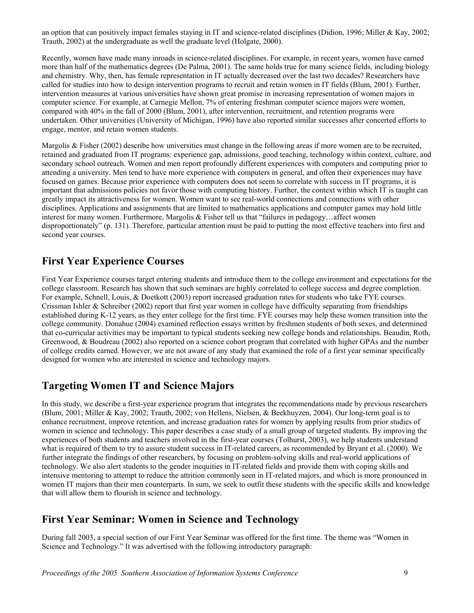an option that can positively impact females staying in IT and science-related disciplines (Didion, 1996; Miller & Kay, 2002; Trauth, 2002) at the undergraduate as well the graduate level (Holgate, 2000).

Recently, women have made many inroads in science-related disciplines. For example, in recent years, women have earned more than half of the mathematics degrees (De Palma, 2001). The same holds true for many science fields, including biology and chemistry. Why, then, has female representation in IT actually decreased over the last two decades? Researchers have called for studies into how to design intervention programs to recruit and retain women in IT fields (Blum, 2001). Further, intervention measures at various universities have shown great promise in increasing representation of women majors in computer science. For example, at Carnegie Mellon, 7% of entering freshman computer science majors were women, compared with 40% in the fall of 2000 (Blum, 2001), after intervention, recruitment, and retention programs were undertaken. Other universities (University of Michigan, 1996) have also reported similar successes after concerted efforts to engage, mentor, and retain women students.

Margolis & Fisher (2002) describe how universities must change in the following areas if more women are to be recruited, retained and graduated from IT programs: experience gap, admissions, good teaching, technology within context, culture, and secondary school outreach. Women and men report profoundly different experiences with computers and computing prior to attending a university. Men tend to have more experience with computers in general, and often their experiences may have focused on games. Because prior experience with computers does not seem to correlate with success in IT programs, it is important that admissions policies not favor those with computing history. Further, the context within which IT is taught can greatly impact its attractiveness for women. Women want to see real-world connections and connections with other disciplines. Applications and assignments that are limited to mathematics applications and computer games may hold little interest for many women. Furthermore, Margolis & Fisher tell us that "failures in pedagogy…affect women disproportionately" (p. 131). Therefore, particular attention must be paid to putting the most effective teachers into first and second year courses.

#### **First Year Experience Courses**

First Year Experience courses target entering students and introduce them to the college environment and expectations for the college classroom. Research has shown that such seminars are highly correlated to college success and degree completion. For example, Schnell, Louis, & Doetkott (2003) report increased graduation rates for students who take FYE courses. Crissman Ishler & Schreiber (2002) report that first year women in college have difficulty separating from friendships established during K-12 years, as they enter college for the first time. FYE courses may help these women transition into the college community. Donahue (2004) examined reflection essays written by freshmen students of both sexes, and determined that co-curricular activities may be important to typical students seeking new college bonds and relationships. Beaudin, Roth, Greenwood, & Boudreau (2002) also reported on a science cohort program that correlated with higher GPAs and the number of college credits earned. However, we are not aware of any study that examined the role of a first year seminar specifically designed for women who are interested in science and technology majors.

#### **Targeting Women IT and Science Majors**

In this study, we describe a first-year experience program that integrates the recommendations made by previous researchers (Blum, 2001; Miller & Kay, 2002; Trauth, 2002; von Hellens, Nielsen, & Beekhuyzen, 2004). Our long-term goal is to enhance recruitment, improve retention, and increase graduation rates for women by applying results from prior studies of women in science and technology. This paper describes a case study of a small group of targeted students. By improving the experiences of both students and teachers involved in the first-year courses (Tolhurst, 2003), we help students understand what is required of them to try to assure student success in IT-related careers, as recommended by Bryant et al. (2000). We further integrate the findings of other researchers, by focusing on problem-solving skills and real-world applications of technology. We also alert students to the gender inequities in IT-related fields and provide them with coping skills and intensive mentoring to attempt to reduce the attrition commonly seen in IT-related majors, and which is more pronounced in women IT majors than their men counterparts. In sum, we seek to outfit these students with the specific skills and knowledge that will allow them to flourish in science and technology.

#### **First Year Seminar: Women in Science and Technology**

During fall 2003, a special section of our First Year Seminar was offered for the first time. The theme was "Women in Science and Technology." It was advertised with the following introductory paragraph: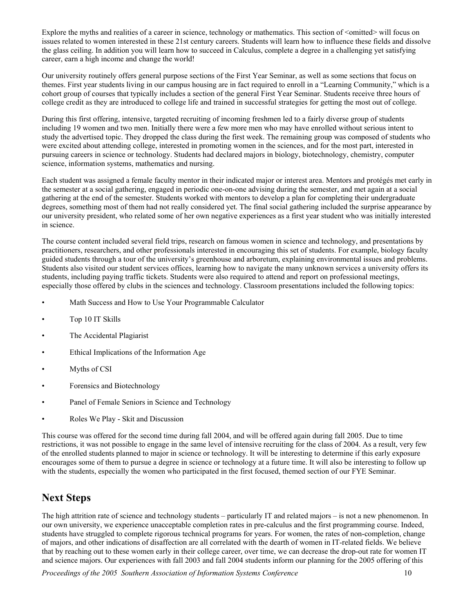Explore the myths and realities of a career in science, technology or mathematics. This section of  $\leq$  mitted $\geq$  will focus on issues related to women interested in these 21st century careers. Students will learn how to influence these fields and dissolve the glass ceiling. In addition you will learn how to succeed in Calculus, complete a degree in a challenging yet satisfying career, earn a high income and change the world!

Our university routinely offers general purpose sections of the First Year Seminar, as well as some sections that focus on themes. First year students living in our campus housing are in fact required to enroll in a "Learning Community," which is a cohort group of courses that typically includes a section of the general First Year Seminar. Students receive three hours of college credit as they are introduced to college life and trained in successful strategies for getting the most out of college.

During this first offering, intensive, targeted recruiting of incoming freshmen led to a fairly diverse group of students including 19 women and two men. Initially there were a few more men who may have enrolled without serious intent to study the advertised topic. They dropped the class during the first week. The remaining group was composed of students who were excited about attending college, interested in promoting women in the sciences, and for the most part, interested in pursuing careers in science or technology. Students had declared majors in biology, biotechnology, chemistry, computer science, information systems, mathematics and nursing.

Each student was assigned a female faculty mentor in their indicated major or interest area. Mentors and protégés met early in the semester at a social gathering, engaged in periodic one-on-one advising during the semester, and met again at a social gathering at the end of the semester. Students worked with mentors to develop a plan for completing their undergraduate degrees, something most of them had not really considered yet. The final social gathering included the surprise appearance by our university president, who related some of her own negative experiences as a first year student who was initially interested in science.

The course content included several field trips, research on famous women in science and technology, and presentations by practitioners, researchers, and other professionals interested in encouraging this set of students. For example, biology faculty guided students through a tour of the university's greenhouse and arboretum, explaining environmental issues and problems. Students also visited our student services offices, learning how to navigate the many unknown services a university offers its students, including paying traffic tickets. Students were also required to attend and report on professional meetings, especially those offered by clubs in the sciences and technology. Classroom presentations included the following topics:

- Math Success and How to Use Your Programmable Calculator
- Top 10 IT Skills
- The Accidental Plagiarist
- Ethical Implications of the Information Age
- Myths of CSI
- Forensics and Biotechnology
- Panel of Female Seniors in Science and Technology
- Roles We Play Skit and Discussion

This course was offered for the second time during fall 2004, and will be offered again during fall 2005. Due to time restrictions, it was not possible to engage in the same level of intensive recruiting for the class of 2004. As a result, very few of the enrolled students planned to major in science or technology. It will be interesting to determine if this early exposure encourages some of them to pursue a degree in science or technology at a future time. It will also be interesting to follow up with the students, especially the women who participated in the first focused, themed section of our FYE Seminar.

### **Next Steps**

The high attrition rate of science and technology students – particularly IT and related majors – is not a new phenomenon. In our own university, we experience unacceptable completion rates in pre-calculus and the first programming course. Indeed, students have struggled to complete rigorous technical programs for years. For women, the rates of non-completion, change of majors, and other indications of disaffection are all correlated with the dearth of women in IT-related fields. We believe that by reaching out to these women early in their college career, over time, we can decrease the drop-out rate for women IT and science majors. Our experiences with fall 2003 and fall 2004 students inform our planning for the 2005 offering of this

*Proceedings of the 2005 Southern Association of Information Systems Conference* 10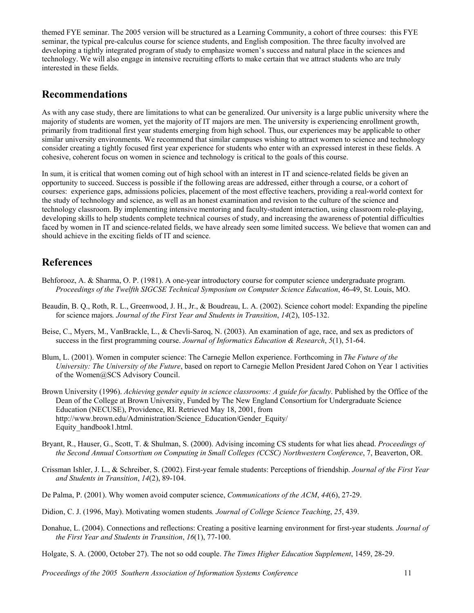themed FYE seminar. The 2005 version will be structured as a Learning Community, a cohort of three courses: this FYE seminar, the typical pre-calculus course for science students, and English composition. The three faculty involved are developing a tightly integrated program of study to emphasize women's success and natural place in the sciences and technology. We will also engage in intensive recruiting efforts to make certain that we attract students who are truly interested in these fields.

#### **Recommendations**

As with any case study, there are limitations to what can be generalized. Our university is a large public university where the majority of students are women, yet the majority of IT majors are men. The university is experiencing enrollment growth, primarily from traditional first year students emerging from high school. Thus, our experiences may be applicable to other similar university environments. We recommend that similar campuses wishing to attract women to science and technology consider creating a tightly focused first year experience for students who enter with an expressed interest in these fields. A cohesive, coherent focus on women in science and technology is critical to the goals of this course.

In sum, it is critical that women coming out of high school with an interest in IT and science-related fields be given an opportunity to succeed. Success is possible if the following areas are addressed, either through a course, or a cohort of courses: experience gaps, admissions policies, placement of the most effective teachers, providing a real-world context for the study of technology and science, as well as an honest examination and revision to the culture of the science and technology classroom. By implementing intensive mentoring and faculty-student interaction, using classroom role-playing, developing skills to help students complete technical courses of study, and increasing the awareness of potential difficulties faced by women in IT and science-related fields, we have already seen some limited success. We believe that women can and should achieve in the exciting fields of IT and science.

#### **References**

- Behforooz, A. & Sharma, O. P. (1981). A one-year introductory course for computer science undergraduate program. *Proceedings of the Twelfth SIGCSE Technical Symposium on Computer Science Education*, 46-49, St. Louis, MO.
- Beaudin, B. Q., Roth, R. L., Greenwood, J. H., Jr., & Boudreau, L. A. (2002). Science cohort model: Expanding the pipeline for science majors*. Journal of the First Year and Students in Transition*, *14*(2), 105-132.
- Beise, C., Myers, M., VanBrackle, L., & Chevli-Saroq, N. (2003). An examination of age, race, and sex as predictors of success in the first programming course. *Journal of Informatics Education & Research*, *5*(1), 51-64.
- Blum, L. (2001). Women in computer science: The Carnegie Mellon experience. Forthcoming in *The Future of the University: The University of the Future*, based on report to Carnegie Mellon President Jared Cohon on Year 1 activities of the Women@SCS Advisory Council.
- Brown University (1996). *Achieving gender equity in science classrooms: A guide for faculty*. Published by the Office of the Dean of the College at Brown University, Funded by The New England Consortium for Undergraduate Science Education (NECUSE), Providence, RI. Retrieved May 18, 2001, from http://www.brown.edu/Administration/Science\_Education/Gender\_Equity/ Equity\_handbook1.html.
- Bryant, R., Hauser, G., Scott, T. & Shulman, S. (2000). Advising incoming CS students for what lies ahead. *Proceedings of the Second Annual Consortium on Computing in Small Colleges (CCSC) Northwestern Conference*, 7, Beaverton, OR.
- Crissman Ishler, J. L., & Schreiber, S. (2002). First-year female students: Perceptions of friendship. *Journal of the First Year and Students in Transition*, *14*(2), 89-104.
- De Palma, P. (2001). Why women avoid computer science, *Communications of the ACM*, *44*(6), 27-29.
- Didion, C. J. (1996, May). Motivating women students*. Journal of College Science Teaching*, *25*, 439.
- Donahue, L. (2004). Connections and reflections: Creating a positive learning environment for first-year students*. Journal of the First Year and Students in Transition*, *16*(1), 77-100.
- Holgate, S. A. (2000, October 27). The not so odd couple. *The Times Higher Education Supplement*, 1459, 28-29.